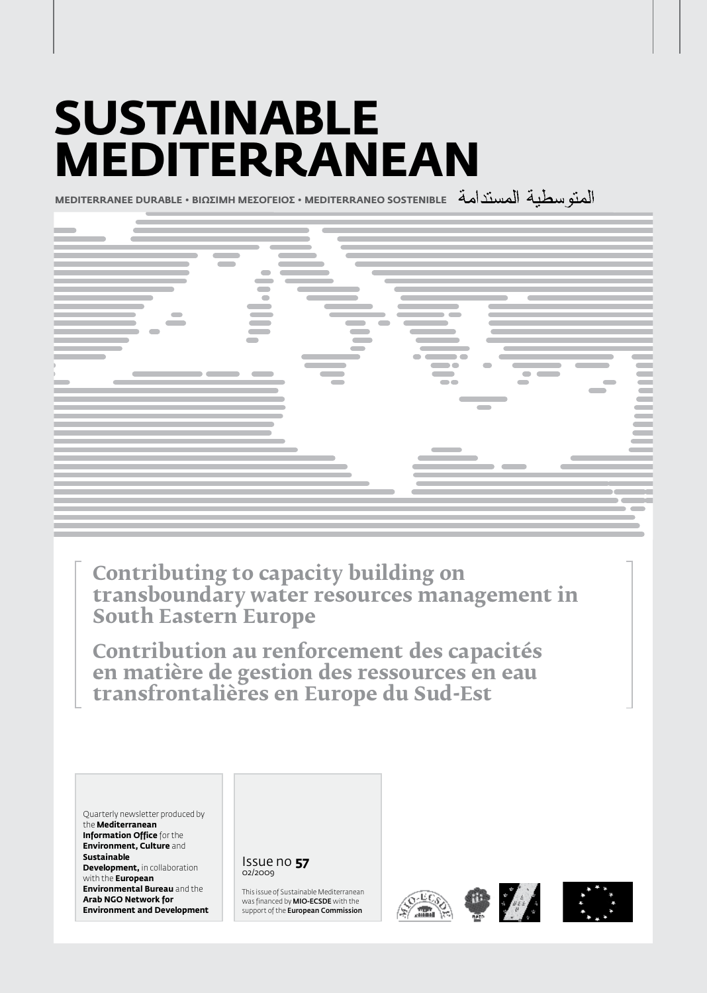# **Sustainable Mediterranean**

**MEDITERRANEE DURABLE • BIΩΣIMH MEΣOΓEIOΣ • MEDITERRANEO SOSTENIBLE**



**Contributing to capacity building on transboundary water resources management in South Eastern Europe**

**Contribution au renforcement des capacités en matière de gestion des ressources en eau transfrontalières en Europe du Sud-Est**

Quarterly newsletter produced by the **Mediterranean Information Office** for the **Environment, Culture** and **Sustainable Development, in collaboration** with the **European Environmental Bureau** and the **Arab NGO Network for Environment and Development**

#### Issue no **57** 02/2009

This issue of Sustainable Mediterranean was financed by MIO-ECSDE with the support of the **European Commission** 







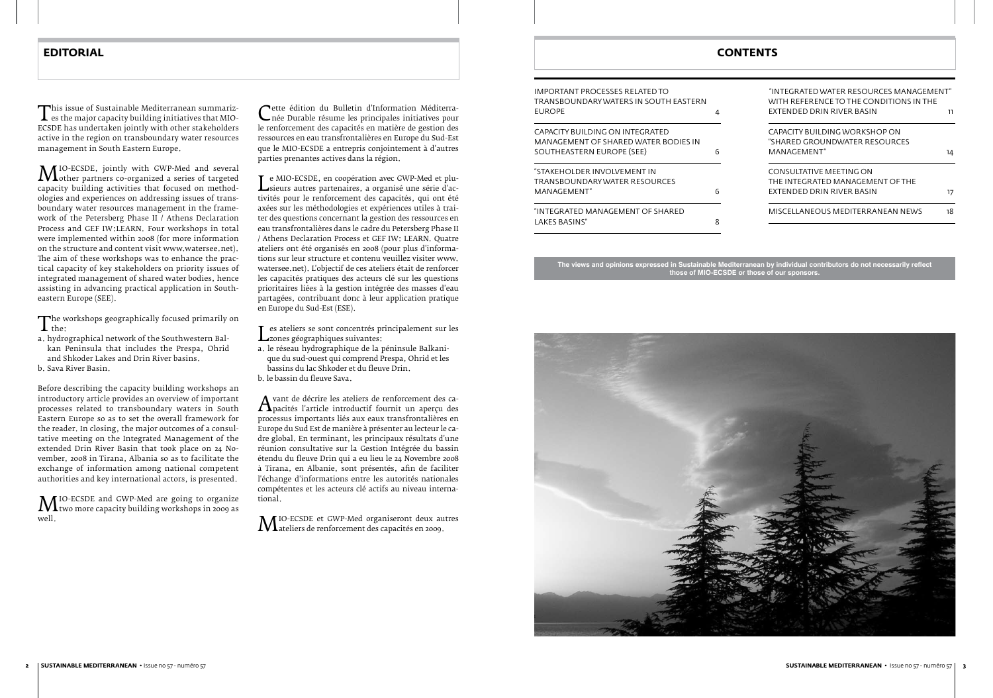This issue of sustainable mediterranean summariz-<br>es the major capacity building initiatives that MIO-<br>ECSDE has undertaken jointly with other stakeholders es the major capacity building initiatives that MIO-ECSDE has undertaken jointly with other stakeholders active in the region on transboundary water resources management in South Eastern Europe.

**M** IO-ECSDE, jointly with GWP-Med and several<br>capacity building activities that focused on methodother partners co-organized a series of targeted capacity building activities that focused on methodologies and experiences on addressing issues of transboundary water resources management in the framework of the Petersberg Phase II / Athens Declaration Process and GEF IW:LEARN. Four workshops in total were implemented within 2008 (for more information on the structure and content visit www.watersee.net). The aim of these workshops was to enhance the practical capacity of key stakeholders on priority issues of integrated management of shared water bodies, hence assisting in advancing practical application in Southeastern Europe (SEE).

The workshops geographically focused primarily on<br>a. hydrographical network of the Southwestern Balthe:

**M** IO-ECSDE and GWP-Med are going to organize<br>well.<br>well. two more capacity building workshops in 2009 as well.

Cette édition du Bulletin d'Information Méditerra-<br>Cnée Durable résume les principales initiatives pour<br>le renforcement des capacités en matière de gestion des née Durable résume les principales initiatives pour le renforcement des capacités en matière de gestion des ressources en eau transfrontalières en Europe du Sud-Est que le MIO-ECSDE a entrepris conjointement à d'autres parties prenantes actives dans la région.

- a. hydrographical network of the Southwestern Balkan Peninsula that includes the Prespa, Ohrid and Shkoder Lakes and Drin River basins.
- b. Sava River Basin.

Les ateliers se sont concentrés principalement sur les a. le réseau hydrographique de la péninsule Balkani-Lzones géographiques suivantes:

Before describing the capacity building workshops an introductory article provides an overview of important processes related to transboundary waters in South Eastern Europe so as to set the overall framework for the reader. In closing, the major outcomes of a consultative meeting on the Integrated Management of the extended Drin River Basin that took place on 24 November, 2008 in Tirana, Albania so as to facilitate the exchange of information among national competent authorities and key international actors, is presented.

*A* vant de décrire les ateliers de renforcement des ca-<br>processus importants liés aux eaux transfrontalières en pacités l'article introductif fournit un aperçu des processus importants liés aux eaux transfrontalières en Europe du Sud Est de manière à présenter au lecteur le cadre global. En terminant, les principaux résultats d'une réunion consultative sur la Gestion Intégrée du bassin étendu du fleuve Drin qui a eu lieu le 24 Novembre 2008 à Tirana, en Albanie, sont présentés, afin de faciliter l'échange d'informations entre les autorités nationales compétentes et les acteurs clé actifs au niveau international.

**M** IO-ECSDE et GWP-Med organiseront deux autres<br>d'ateliers de renforcement des capacités en 2009. ateliers de renforcement des capacités en 2009.

Le MIO-ECSDE, en coopération avec GWP-Med et plu-tivités pour le renforcement des capacités, qui ont été L sieurs autres partenaires, a organisé une série d'acaxées sur les méthodologies et expériences utiles à traiter des questions concernant la gestion des ressources en eau transfrontalières dans le cadre du Petersberg Phase II / Athens Declaration Process et GEF IW: LEARN. Quatre ateliers ont été organisés en 2008 (pour plus d'informations sur leur structure et contenu veuillez visiter www. watersee.net). L'objectif de ces ateliers était de renforcer les capacités pratiques des acteurs clé sur les questions prioritaires liées à la gestion intégrée des masses d'eau partagées, contribuant donc à leur application pratique en Europe du Sud-Est (ESE).

- que du sud-ouest qui comprend Prespa, Ohrid et les bassins du lac Shkoder et du fleuve Drin.
- b. le bassin du fleuve Sava.

# **EDITORIAL CONTENTS**

| IMPORTANT PROCESSES RELATED TO<br>TRANSBOUNDARYWATERS IN SOUTH EASTERN |   |
|------------------------------------------------------------------------|---|
| <b>FUROPE</b>                                                          |   |
| CAPACITY BUILDING ON INTEGRATED                                        |   |
| MANAGEMENT OF SHARED WATER BODIES IN                                   |   |
| SOUTHEASTERN EUROPE (SEE)                                              | 6 |
| "STAKFHOLDER INVOLVEMENT IN                                            |   |
| TRANSBOUNDARYWATER RESOURCES                                           |   |
| MANAGEMENT"                                                            |   |
| "INTEGRATED MANAGEMENT OF SHARED                                       |   |
| LAKES BASINS"                                                          |   |



| "INTEGRATED WATER RESOURCES MANAGEMENT"<br>WITH REFERENCE TO THE CONDITIONS IN THE |    |
|------------------------------------------------------------------------------------|----|
| FXTENDED DRIN RIVER BASIN                                                          | וו |
| CAPACITY BUILDING WORKSHOP ON                                                      |    |
| "SHARED GROUNDWATER RESOURCES                                                      |    |
| MANAGEMENT"                                                                        | 14 |
| CONSULTATIVE MEETING ON                                                            |    |
| THE INTEGRATED MANAGEMENT OF THE                                                   |    |
| FXTENDED DRIN RIVER BASIN                                                          | 17 |
| MISCELLANEOUS MEDITERRANEAN NEWS                                                   | 18 |

**The views and opinions expressed in Sustainable Mediterranean by individual contributors do not necessarily reflect those of MIO-ECSDE or those of our sponsors.**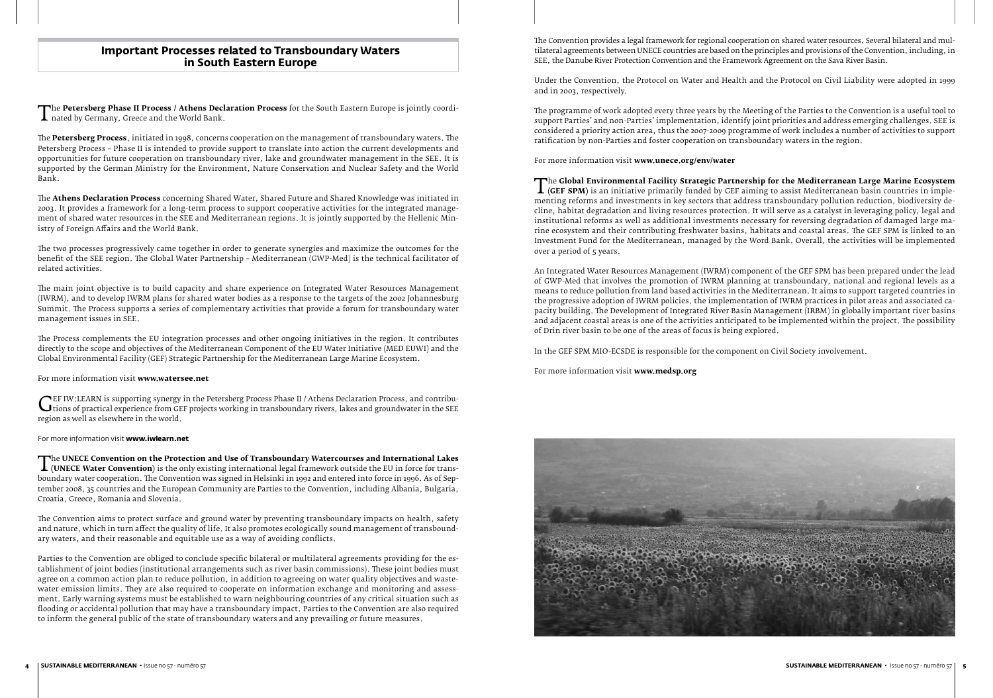The Petersberg Phase II Process / Athens Declaration Process for the South Eastern Europe is jointly coordi-<br>ated by Germany, Greece and the World Bank. nated by Germany, Greece and the World Bank.

The **Petersberg Process**, initiated in 1998, concerns cooperation on the management of transboundary waters. The Petersberg Process – Phase II is intended to provide support to translate into action the current developments and opportunities for future cooperation on transboundary river, lake and groundwater management in the SEE. It is supported by the German Ministry for the Environment, Nature Conservation and Nuclear Safety and the World Bank.

The **Athens Declaration Process** concerning Shared Water, Shared Future and Shared Knowledge was initiated in 2003. It provides a framework for a long-term process to support cooperative activities for the integrated management of shared water resources in the SEE and Mediterranean regions. It is jointly supported by the Hellenic Ministry of Foreign Affairs and the World Bank.

GEF IW:LEARN is supporting synergy in the Petersberg Process Phase II / Athens Declaration Process, and contribu-<br>tions of practical experience from GEF projects working in transboundary rivers, lakes and groundwater in th tions of practical experience from GEF projects working in transboundary rivers, lakes and groundwater in the SEE region as well as elsewhere in the world.

The two processes progressively came together in order to generate synergies and maximize the outcomes for the benefit of the SEE region. The Global Water Partnership – Mediterranean (GWP-Med) is the technical facilitator of related activities.

The UNECE Convention on the Protection and Use of Transboundary watercourses and international Lakes<br>(UNECE Water Convention) is the only existing international legal framework outside the EU in force for trans-<br>boundary w **(UNECE Water Convention)** is the only existing international legal framework outside the EU in force for transtember 2008, 35 countries and the European Community are Parties to the Convention, including Albania, Bulgaria, Croatia, Greece, Romania and Slovenia.

The main joint objective is to build capacity and share experience on Integrated Water Resources Management (IWRM), and to develop IWRM plans for shared water bodies as a response to the targets of the 2002 Johannesburg Summit. The Process supports a series of complementary activities that provide a forum for transboundary water management issues in SEE.

The Process complements the EU integration processes and other ongoing initiatives in the region. It contributes directly to the scope and objectives of the Mediterranean Component of the EU Water Initiative (MED EUWI) and the Global Environmental Facility (GEF) Strategic Partnership for the Mediterranean Large Marine Ecosystem.

#### For more information visit **www.watersee.net**

#### For more information visit **www.iwlearn.net**

The Convention aims to protect surface and ground water by preventing transboundary impacts on health, safety and nature, which in turn affect the quality of life. It also promotes ecologically sound management of transboundary waters, and their reasonable and equitable use as a way of avoiding conflicts.

Parties to the Convention are obliged to conclude specific bilateral or multilateral agreements providing for the establishment of joint bodies (institutional arrangements such as river basin commissions). These joint bodies must agree on a common action plan to reduce pollution, in addition to agreeing on water quality objectives and wastewater emission limits. They are also required to cooperate on information exchange and monitoring and assessment. Early warning systems must be established to warn neighbouring countries of any critical situation such as flooding or accidental pollution that may have a transboundary impact. Parties to the Convention are also required to inform the general public of the state of transboundary waters and any prevailing or future measures.

# **Important Processes related to Transboundary Waters in South Eastern Europe**

The Convention provides a legal framework for regional cooperation on shared water resources. Several bilateral and multilateral agreements between UNECE countries are based on the principles and provisions of the Convention, including, in SEE, the Danube River Protection Convention and the Framework Agreement on the Sava River Basin.

Under the Convention, the Protocol on Water and Health and the Protocol on Civil Liability were adopted in 1999 and in 2003, respectively.

The programme of work adopted every three years by the Meeting of the Parties to the Convention is a useful tool to support Parties' and non-Parties' implementation, identify joint priorities and address emerging challenges. SEE is considered a priority action area, thus the 2007-2009 programme of work includes a number of activities to support ratification by non-Parties and foster cooperation on transboundary waters in the region.

For more information visit **www.unece.org/env/water**

The **Global Environmental Facility Strategic Partnership for the Mediterranean Large Marine Ecosystem (GEF SPM)** is an initiative primarily funded by GEF aiming to assist Mediterranean basin countries in implementing refor **(GEF SPM)** is an initiative primarily funded by GEF aiming to assist Mediterranean basin countries in implementing reforms and investments in key sectors that address transboundary pollution reduction, biodiversity decline, habitat degradation and living resources protection. It will serve as a catalyst in leveraging policy, legal and institutional reforms as well as additional investments necessary for reversing degradation of damaged large marine ecosystem and their contributing freshwater basins, habitats and coastal areas. The GEF SPM is linked to an Investment Fund for the Mediterranean, managed by the Word Bank. Overall, the activities will be implemented over a period of 5 years.

An Integrated Water Resources Management (IWRM) component of the GEF SPM has been prepared under the lead of GWP-Med that involves the promotion of IWRM planning at transboundary, national and regional levels as a means to reduce pollution from land based activities in the Mediterranean. It aims to support targeted countries in the progressive adoption of IWRM policies, the implementation of IWRM practices in pilot areas and associated capacity building. The Development of Integrated River Basin Management (IRBM) in globally important river basins and adjacent coastal areas is one of the activities anticipated to be implemented within the project. The possibility of Drin river basin to be one of the areas of focus is being explored.

In the GEF SPM MIO-ECSDE is responsible for the component on Civil Society involvement.

For more information visit **www.medsp.org**

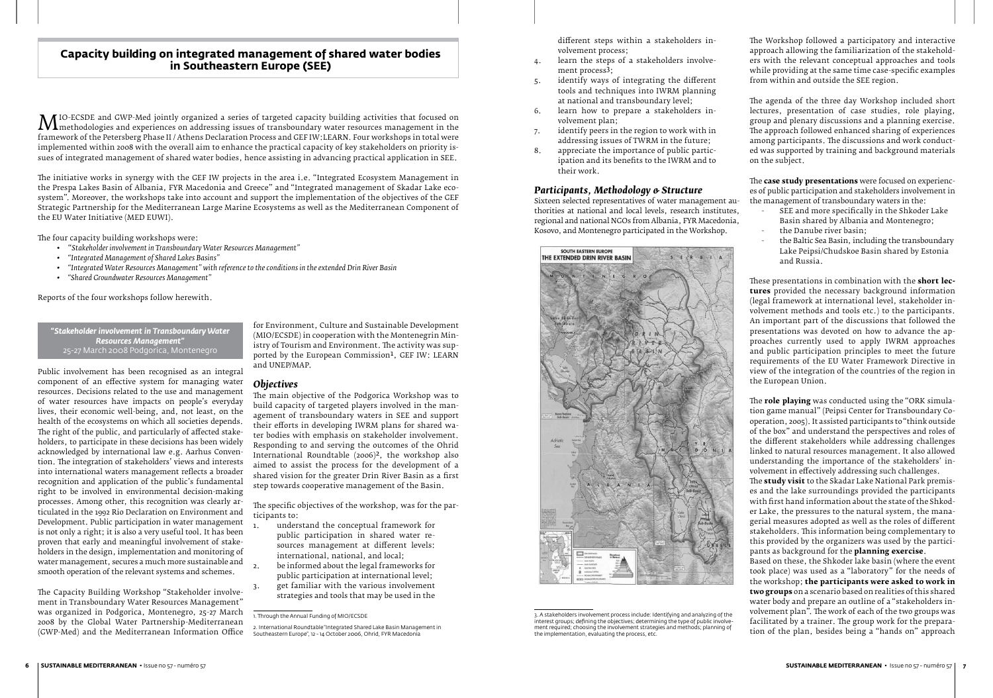Public involvement has been recognised as an integral component of an effective system for managing water resources. Decisions related to the use and management of water resources have impacts on people's everyday lives, their economic well-being, and, not least, on the health of the ecosystems on which all societies depends. The right of the public, and particularly of affected stakeholders, to participate in these decisions has been widely acknowledged by international law e.g. Aarhus Convention. The integration of stakeholders' views and interests into international waters management reflects a broader recognition and application of the public's fundamental right to be involved in environmental decision-making processes. Among other, this recognition was clearly articulated in the 1992 Rio Declaration on Environment and Development. Public participation in water management is not only a right; it is also a very useful tool. It has been proven that early and meaningful involvement of stakeholders in the design, implementation and monitoring of water management, secures a much more sustainable and smooth operation of the relevant systems and schemes.

The specific objectives of the workshop, was for the participants to:<br>1. unders

- understand the conceptual framework for public participation in shared water resources management at different levels: international, national, and local;
- be informed about the legal frameworks for public participation at international level; get familiar with the various involvement strategies and tools that may be used in the

The Capacity Building Workshop "Stakeholder involvement in Transboundary Water Resources Management" was organized in Podgorica, Montenegro, 25-27 March 2008 by the Global Water Partnership-Mediterranean (GWP-Med) and the Mediterranean Information Office

*"Stakeholder involvement in Transboundary Water Resources Management"* 25-27 March 2008 Podgorica, Montenegro

for Environment, Culture and Sustainable Development (MIO/ECSDE) in cooperation with the Montenegrin Ministry of Tourism and Environment. The activity was supported by the European Commission<sup>1</sup>, GEF IW: LEARN and UNEP/MAP.

# *Objectives*

The main objective of the Podgorica Workshop was to build capacity of targeted players involved in the management of transboundary waters in SEE and support their efforts in developing IWRM plans for shared water bodies with emphasis on stakeholder involvement. Responding to and serving the outcomes of the Ohrid International Roundtable (2006)2, the workshop also aimed to assist the process for the development of a shared vision for the greater Drin River Basin as a first step towards cooperative management of the Basin.

- SEE and more specifically in the Shkoder Lake Basin shared by Albania and Montenegro;
- the Danube river basin;
- the Baltic Sea Basin, including the transboundary Lake Peipsi/Chudskoe Basin shared by Estonia and Russia.

# **Capacity building on integrated management of shared water bodies in Southeastern Europe (SEE)**

different steps within a stakeholders involvement process;

- 4. learn the steps of a stakeholders involvement process3;
- 5. identify ways of integrating the different tools and techniques into IWRM planning at national and transboundary level;
- 6. learn how to prepare a stakeholders involvement plan;
- 7. identify peers in the region to work with in addressing issues of TWRM in the future;
- 8. appreciate the importance of public participation and its benefits to the IWRM and to their work.

## *Participants, Methodology & Structure*

Sixteen selected representatives of water management authorities at national and local levels, research institutes, regional and national NGOs from Albania, FYR Macedonia, Kosovo, and Montenegro participated in the Workshop.

MIO-ECSDE and GWP-Med jointly organized a series of targeted capacity building activities that focused on<br>framework of the Petersberg Phase II / Athens Declaration Process and GEF IW:LEARN. Four workshops in total were methodologies and experiences on addressing issues of transboundary water resources management in the framework of the Petersberg Phase II / Athens Declaration Process and GEF IW:LEARN. Four workshops in total were implemented within 2008 with the overall aim to enhance the practical capacity of key stakeholders on priority issues of integrated management of shared water bodies, hence assisting in advancing practical application in SEE.



<sup>3.</sup> A stakeholders involvement process include: Identifying and analyzing of the interest groups; defining the objectives; determining the type of public involvement required; choosing the involvement strategies and methods; planning of the implementation, evaluating the process, etc.

The Workshop followed a participatory and interactive approach allowing the familiarization of the stakeholders with the relevant conceptual approaches and tools while providing at the same time case-specific examples from within and outside the SEE region.

The agenda of the three day Workshop included short lectures, presentation of case studies, role playing, group and plenary discussions and a planning exercise. The approach followed enhanced sharing of experiences among participants. The discussions and work conducted was supported by training and background materials on the subject.

The **case study presentations** were focused on experiences of public participation and stakeholders involvement in the management of transboundary waters in the:

These presentations in combination with the **short lectures** provided the necessary background information (legal framework at international level, stakeholder involvement methods and tools etc.) to the participants. An important part of the discussions that followed the presentations was devoted on how to advance the approaches currently used to apply IWRM approaches and public participation principles to meet the future requirements of the EU Water Framework Directive in view of the integration of the countries of the region in the European Union.

The **role playing** was conducted using the "ORK simulation game manual" (Peipsi Center for Transboundary Cooperation, 2005). It assisted participants to "think outside of the box" and understand the perspectives and roles of the different stakeholders while addressing challenges linked to natural resources management. It also allowed understanding the importance of the stakeholders' involvement in effectively addressing such challenges.

The **study visit** to the Skadar Lake National Park premises and the lake surroundings provided the participants with first hand information about the state of the Shkoder Lake, the pressures to the natural system, the managerial measures adopted as well as the roles of different stakeholders. This information being complementary to this provided by the organizers was used by the participants as background for the **planning exercise**.

Based on these, the Shkoder lake basin (where the event took place) was used as a "laboratory" for the needs of the workshop; **the participants were asked to work in two groups** on a scenario based on realities of this shared water body and prepare an outline of a "stakeholders involvement plan". The work of each of the two groups was facilitated by a trainer. The group work for the preparation of the plan, besides being a "hands on" approach

The initiative works in synergy with the GEF IW projects in the area i.e. "Integrated Ecosystem Management in the Prespa Lakes Basin of Albania, FYR Macedonia and Greece" and "Integrated management of Skadar Lake ecosystem". Moreover, the workshops take into account and support the implementation of the objectives of the GEF Strategic Partnership for the Mediterranean Large Marine Ecosystems as well as the Mediterranean Component of the EU Water Initiative (MED EUWI).

The four capacity building workshops were:

- • "*Stakeholder involvement in Transboundary Water Resources Management"*
- *• "Integrated Management of Shared Lakes Basins"*
- *• "Integrated Water Resources Management" with reference to the conditions in the extended Drin River Basin*
- *• "Shared Groundwater Resources Management"*

Reports of the four workshops follow herewith.

<sup>1.</sup> Through the Annual Funding of MIO/ECSDE

<sup>2.</sup> International Roundtable "Integrated Shared Lake Basin Management in Southeastern Europe", 12 - 14 October 2006, Ohrid, FYR Macedonia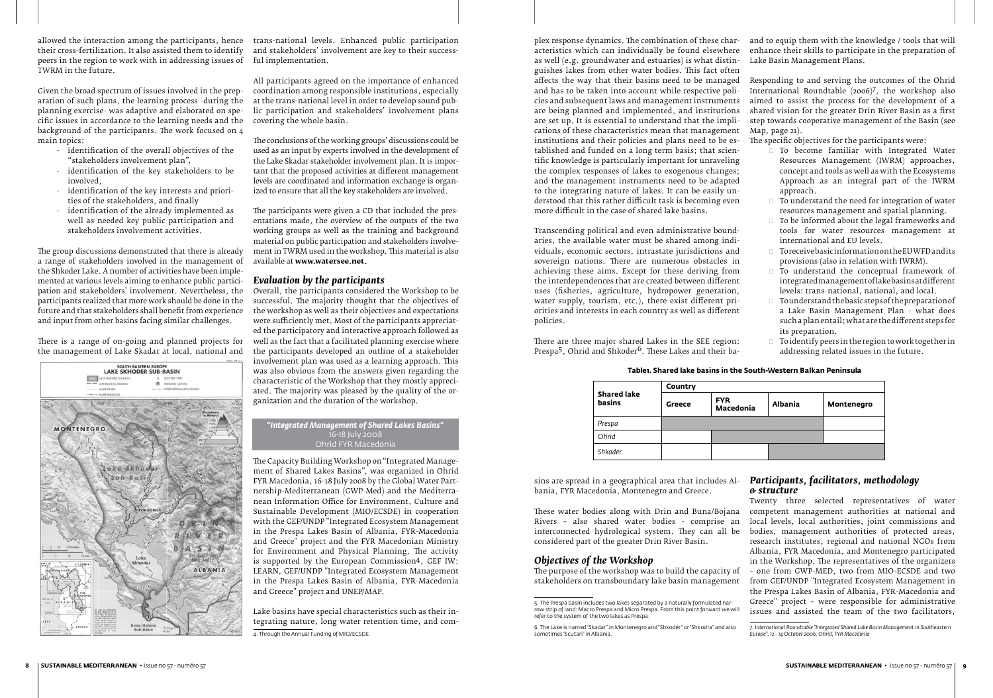allowed the interaction among the participants, hence the flational levels. Enhanced public participation their cross-fertilization. It also assisted them to identify peers in the region to work with in addressing issues of ful implementation. TWRM in the future.

Given the broad spectrum of issues involved in the preparation of such plans, the learning process -during the planning exercise- was adaptive and elaborated on specific issues in accordance to the learning needs and the background of the participants. The work focused on 4 main topics:

- identification of the overall objectives of the "stakeholders involvement plan",
- identification of the key stakeholders to be involved,
- identification of the key interests and priorities of the stakeholders, and finally
- identification of the already implemented as well as needed key public participation and stakeholders involvement activities.

The group discussions demonstrated that there is already a range of stakeholders involved in the management of the Shkoder Lake. A number of activities have been implemented at various levels aiming to enhance public participation and stakeholders' involvement. Nevertheless, the participants realized that more work should be done in the future and that stakeholders shall benefit from experience and input from other basins facing similar challenges.

There is a range of on-going and planned projects for the management of Lake Skadar at local, national and



and stakeholders' involvement are key to their success-

All participants agreed on the importance of enhanced coordination among responsible institutions, especially at the trans-national level in order to develop sound public participation and stakeholders' involvement plans covering the whole basin.

The conclusions of the working groups' discussions could be used as an input by experts involved in the development of the Lake Skadar stakeholder involvement plan. It is important that the proposed activities at different management tant that the proposed activities at different management levels are coordinated and information exchange is organized to ensure that all the key stakeholders are involved.

The participants were given a CD that included the presentations made, the overview of the outputs of the two working groups as well as the training and background material on public participation and stakeholders involvement in TWRM used in the workshop. This material is also available at **www.watersee.net.**

## *Evaluation by the participants*

There are three major shared Lakes in the SEE region: Prespa<sup>5</sup>, Ohrid and Shkoder<sup>6</sup>. These Lakes and their ba-

Overall, the participants considered the Workshop to be successful. The majority thought that the objectives of the workshop as well as their objectives and expectations were sufficiently met. Most of the participants appreciated the participatory and interactive approach followed as well as the fact that a facilitated planning exercise where the participants developed an outline of a stakeholder involvement plan was used as a learning approach. This was also obvious from the answers given regarding the characteristic of the Workshop that they mostly appreciated. The majority was pleased by the quality of the organization and the duration of the workshop.

The Capacity Building Workshop on "Integrated Management of Shared Lakes Basins", was organized in Ohrid FYR Macedonia, 16-18 July 2008 by the Global Water Partnership-Mediterranean (GWP-Med) and the Mediterranean Information Office for Environment, Culture and Sustainable Development (MIO/ECSDE) in cooperation with the GEF/UNDP "Integrated Ecosystem Management in the Prespa Lakes Basin of Albania, FYR-Macedonia and Greece" project and the FYR Macedonian Ministry for Environment and Physical Planning. The activity is supported by the European Commission4, GEF IW: LEARN, GEF/UNDP "Integrated Ecosystem Management in the Prespa Lakes Basin of Albania, FYR-Macedonia and Greece" project and UNEP/MAP.

- 
- 
- $\Box$  To be informed about the legal frameworks and tools for water resources management at international and EU levels. international and EU levels.
- $\Box$  Toreceive basic information on the EUWFD and its provisions (also in relation with IWRM).
- To understand the conceptual framework of integrated management of lake basins at different levels: trans-national, national, and local.
- $\Box$  To understand the basic steps of the preparation of a Lake Basin Management Plan - what does such a plan entail; what are the different steps for its preparation.
- $\Box$  To identify peers in the region to work together in addressing related issues in the future.

Lake basins have special characteristics such as their integrating nature, long water retention time, and com-4. Through the Annual Funding of MIO/ECSDE

Transcending political and even administrative boundaries, the available water must be shared among individuals, economic sectors, intrastate jurisdictions and sovereign nations. There are numerous obstacles in achieving these aims. Except for these deriving from the interdependences that are created between different uses (fisheries, agriculture, hydropower generation, water supply, tourism, etc.), there exist different priorities and interests in each country as well as different policies.

plex response dynamics. The combination of these characteristics which can individually be found elsewhere as well (e.g. groundwater and estuaries) is what distinguishes lakes from other water bodies. This fact often affects the way that their basins need to be managed and has to be taken into account while respective policies and subsequent laws and management instruments are being planned and implemented, and institutions are set up. It is essential to understand that the implications of these characteristics mean that management institutions and their policies and plans need to be established and funded on a long term basis; that scientific knowledge is particularly important for unraveling the complex responses of lakes to exogenous changes; and the management instruments need to be adapted to the integrating nature of lakes. It can be easily understood that this rather difficult task is becoming even more difficult in the case of shared lake basins. and to equip them with the knowledge / tools that will enhance their skills to participate in the preparation of Lake Basin Management Plans. Responding to and serving the outcomes of the Ohrid International Roundtable (2006)7, the workshop also aimed to assist the process for the development of a shared vision for the greater Drin River Basin as a first step towards cooperative management of the Basin (see Map, page 21). The specific objectives for the participants were: To become familiar with Integrated Water Resources Management (IWRM) approaches, concept and tools as well as with the Ecosystems Approach as an integral part of the IWRM approach.  $\Box$  To understand the need for integration of water resources management and spatial planning.

sins are spread in a geographical area that includes Albania, FYR Macedonia, Montenegro and Greece.

These water bodies along with Drin and Buna/Bojana Rivers – also shared water bodies - comprise an interconnected hydrological system. They can all be considered part of the greater Drin River Basin. *Objectives of the Workshop* The purpose of the workshop was to build the capacity of stakeholders on transboundary lake basin management 5. The Prespa basin includes two lakes separated by a naturally formulated narrow strip of land: Macro Prespa and Micro Prespa. From this point forward we will

# *Participants, facilitators, methodology & structure*

Twenty three selected representatives of water competent management authorities at national and local levels, local authorities, joint commissions and bodies, management authorities of protected areas, research institutes, regional and national NGOs from Albania, FYR Macedonia, and Montenegro participated in the Workshop. The representatives of the organizers – one from GWP-MED, two from MIO-ECSDE and two from GEF/UNDP "Integrated Ecosystem Management in the Prespa Lakes Basin of Albania, FYR-Macedonia and Greece" project – were responsible for administrative issues and assisted the team of the two facilitators,

#### *"Integrated Management of Shared Lakes Basins"* 16-18 July 2008 Ohrid FYR Macedonia

|                                     | Country |                                           |  |            |  |  |
|-------------------------------------|---------|-------------------------------------------|--|------------|--|--|
| <b>Shared lake</b><br><b>basins</b> | Greece  | <b>FYR</b><br>Albania<br><b>Macedonia</b> |  | Montenegro |  |  |
| Prespa                              |         |                                           |  |            |  |  |
| Ohrid                               |         |                                           |  |            |  |  |
| Shkoder                             |         |                                           |  |            |  |  |

#### **Table1. Shared lake basins in the South-Western Balkan Peninsula**

refer to the system of the two lakes as Prespa.

<sup>6.</sup> The Lake is named "Skadar" in Montenegro and "Shkodër" or "Shkodra" and also sometimes "Scutari" in Albania.

<sup>7</sup>*. International Roundtable "Integrated Shared Lake Basin Management in Southeastern Europe", 12 - 14 October 2006, Ohrid, FYR Macedonia*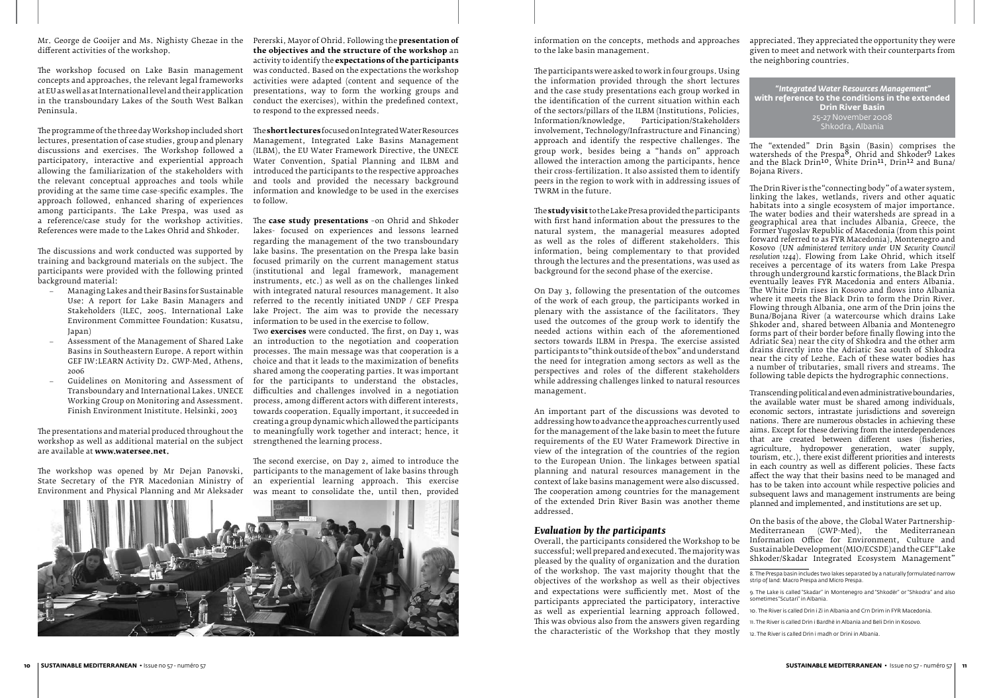Mr. George de Gooijer and Ms. Nighisty Ghezae in the Pererski, Mayor of Ohrid. Following the **presentation of**  different activities of the workshop.

The workshop focused on Lake Basin management was conducted. Based on the expectations the workshop concepts and approaches, the relevant legal frameworks at EU as well as at International level and their application in the transboundary Lakes of the South West Balkan Peninsula.

The programme of the three day Workshop included short lectures, presentation of case studies, group and plenary discussions and exercises. The Workshop followed a (ILBM), the EU Water Framework Directive, the UNECE participatory, interactive and experiential approach allowing the familiarization of the stakeholders with the relevant conceptual approaches and tools while providing at the same time case-specific examples. The information and knowledge to be used in the exercises approach followed, enhanced sharing of experiences to follow. among participants. The Lake Prespa, was used as a reference/case study for the workshop activities. The **case study presentations** –on Ohrid and Shkoder References were made to the Lakes Ohrid and Shkoder.

- Managing Lakes and their Basins for Sustainable Use: A report for Lake Basin Managers and Stakeholders (ILEC, 2005. International Lake Environment Committee Foundation: Kusatsu, information to be used in the exercise to follow. Japan)
- Basins in Southeastern Europe. A report within GEF IW:LEARN Activity D2. GWP-Med, Athens, 2006
- Guidelines on Monitoring and Assessment of Transboundary and International Lakes. UNECE Working Group on Monitoring and Assessment. Finish Environment Inistitute. Helsinki, 2003

The discussions and work conducted was supported by training and background materials on the subject. The participants were provided with the following printed background material:

The presentations and material produced throughout the workshop as well as additional material on the subject strengthened the learning process. are available at **www.watersee.net.**

The workshop was opened by Mr Dejan Panovski, State Secretary of the FYR Macedonian Ministry of Environment and Physical Planning and Mr Aleksader

– Assessment of the Management of Shared Lake an introduction to the negotiation and cooperation Two **exercises** were conducted. The first, on Day 1, was processes. The main message was that cooperation is a choice and that it leads to the maximization of benefits shared among the cooperating parties. It was important for the participants to understand the obstacles, difficulties and challenges involved in a negotiation process, among different actors with different interests, towards cooperation. Equally important, it succeeded in creating a group dynamic which allowed the participants to meaningfully work together and interact; hence, it

**the objectives and the structure of the workshop** an activity to identify the **expectations of the participants** activities were adapted (content and sequence of the presentations, way to form the working groups and conduct the exercises), within the predefined context, to respond to the expressed needs.

The **short lectures** focused on Integrated Water Resources Management, Integrated Lake Basins Management Water Convention, Spatial Planning and ILBM and introduced the participants to the respective approaches and tools and provided the necessary background

lakes- focused on experiences and lessons learned regarding the management of the two transboundary lake basins. The presentation on the Prespa lake basin focused primarily on the current management status (institutional and legal framework, management instruments, etc.) as well as on the challenges linked with integrated natural resources management. It also referred to the recently initiated UNDP / GEF Prespa lake Project. The aim was to provide the necessary

The second exercise, on Day 2, aimed to introduce the participants to the management of lake basins through an experiential learning approach. This exercise was meant to consolidate the, until then, provided



The **study visit** to the Lake Presa provided the participants with first hand information about the pressures to the natural system, the managerial measures adopted as well as the roles of different stakeholders. This information, being complementary to that provided through the lectures and the presentations, was used as background for the second phase of the exercise.

On Day 3, following the presentation of the outcomes of the work of each group, the participants worked in plenary with the assistance of the facilitators. They used the outcomes of the group work to identify the needed actions within each of the aforementioned sectors towards ILBM in Prespa. The exercise assisted participants to "think outside of the box" and understand the need for integration among sectors as well as the perspectives and roles of the different stakeholders while addressing challenges linked to natural resources management.

information on the concepts, methods and approaches to the lake basin management. appreciated. They appreciated the opportunity they were given to meet and network with their counterparts from the neighboring countries.

# *Evaluation by the participants*

Overall, the participants considered the Workshop to be successful; well prepared and executed. The majority was pleased by the quality of organization and the duration of the workshop. The vast majority thought that the objectives of the workshop as well as their objectives and expectations were sufficiently met. Most of the participants appreciated the participatory, interactive as well as experiential learning approach followed. This was obvious also from the answers given regarding the characteristic of the Workshop that they mostly

The participants were asked to work in four groups. Using the information provided through the short lectures and the case study presentations each group worked in the identification of the current situation within each of the sectors/pillars of the ILBM (Institutions, Policies, Information/knowledge, Participation/Stakeholders involvement, Technology/Infrastructure and Financing) approach and identify the respective challenges. The group work, besides being a "hands on" approach allowed the interaction among the participants, hence their cross-fertilization. It also assisted them to identify peers in the region to work with in addressing issues of TWRM in the future. The "extended" Drin Basin (Basin) comprises the watersheds of the Prespa<sup>8</sup>, Ohrid and Shkoder<sup>9</sup> Lakes and the Black Drin10, White Drin11, Drin12 and Buna/ Bojana Rivers. The Drin River is the "connecting body" or a water system,  *"Integrated Water Resources Management"* **with reference to the conditions in the extended Drin River Basin** 25-27 November 2008 Shkodra, Albania

An important part of the discussions was devoted to addressing how to advance the approaches currently used for the management of the lake basin to meet the future requirements of the EU Water Framework Directive in view of the integration of the countries of the region to the European Union. The linkages between spatial planning and natural resources management in the context of lake basins management were also discussed. The cooperation among countries for the management of the extended Drin River Basin was another theme addressed. Transcending political and even administrative boundaries, the available water must be shared among individuals, economic sectors, intrastate jurisdictions and sovereign nations. There are numerous obstacles in achieving these aims. Except for these deriving from the interdependences that are created between different uses (fisheries, agriculture, hydropower generation, water supply, tourism, etc.), there exist different priorities and interests in each country as well as different policies. These facts affect the way that their basins need to be managed and has to be taken into account while respective policies and subsequent laws and management instruments are being planned and implemented, and institutions are set up.

linking the lakes, wetlands, rivers and other aquatic habitats into a single ecosystem of major importance. The water bodies and their watersheds are spread in a geographical area that includes Albania, Greece, the Former Yugoslav Republic of Macedonia (from this point forward referred to as FYR Macedonia), Montenegro and Kosovo (*UN administered territory under UN Security Council resolution 1244*). Flowing from Lake Ohrid, which itself receives a percentage of its waters from Lake Prespa through underground karstic formations, the Black Drin eventually leaves FYR Macedonia and enters Albania. The White Drin rises in Kosovo and flows into Albania where it meets the Black Drin to form the Drin River. Flowing through Albania, one arm of the Drin joins the Buna/Bojana River (a watercourse which drains Lake Shkoder and, shared between Albania and Montenegro forms part of their border before finally flowing into the Adriatic Sea) near the city of Shkodra and the other arm drains directly into the Adriatic Sea south of Shkodra near the city of Lezhe. Each of these water bodies has a number of tributaries, small rivers and streams. The following table depicts the hydrographic connections.

On the basis of the above, the Global Water Partnership-Mediterranean (GWP-Med), the Mediterranean Information Office for Environment, Culture and Sustainable Development (MIO/ECSDE) and the GEF "Lake Shkoder/Skadar Integrated Ecosystem Management"

<sup>8.</sup> The Prespa basin includes two lakes separated by a naturally formulated narrow strip of land: Macro Prespa and Micro Prespa.

<sup>9.</sup> The Lake is called "Skadar" in Montenegro and "Shkodër" or "Shkodra" and also sometimes "Scutari" in Albania.

<sup>10.</sup> The River is called Drin i Zi in Albania and Crn Drim in FYR Macedonia.

<sup>11.</sup> The River is called Drin i Bardhë in Albania and Beli Drin in Kosovo.

<sup>12.</sup> The River is called Drin i madh or Drini in Albania.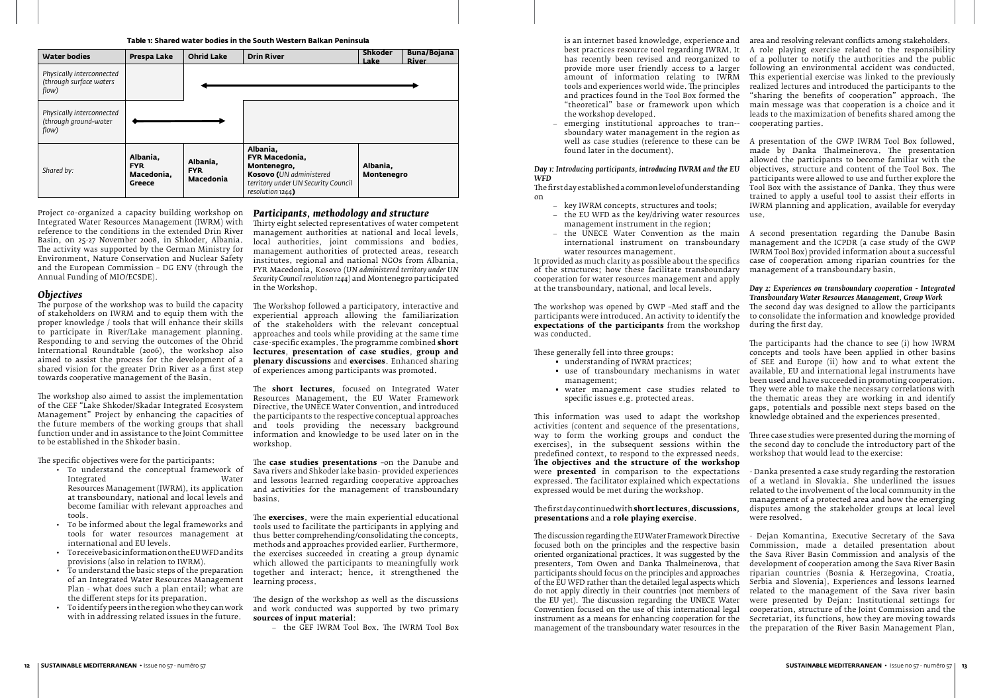Project co-organized a capacity building workshop on Integrated Water Resources Management (IWRM) with reference to the conditions in the extended Drin River Basin, on 25-27 November 2008, in Shkoder, Albania. The activity was supported by the German Ministry for Environment, Nature Conservation and Nuclear Safety and the European Commission – DG ENV (through the Annual Funding of MIO/ECSDE).

## *Objectives*

The purpose of the workshop was to build the capacity of stakeholders on IWRM and to equip them with the proper knowledge / tools that will enhance their skills to participate in River/Lake management planning. Responding to and serving the outcomes of the Ohrid International Roundtable (2006), the workshop also aimed to assist the process for the development of a shared vision for the greater Drin River as a first step towards cooperative management of the Basin.

The workshop also aimed to assist the implementation of the GEF "Lake Shkoder/Skadar Integrated Ecosystem Management" Project by enhancing the capacities of the future members of the working groups that shall function under and in assistance to the Joint Committee to be established in the Shkoder basin.

The specific objectives were for the participants:

- • To understand the conceptual framework of Integrated Water Resources Management (IWRM), its application at transboundary, national and local levels and become familiar with relevant approaches and tools.
- • To be informed about the legal frameworks and tools for water resources management at international and EU levels.
- • To receive basic information on the EU WFD and its provisions (also in relation to IWRM).
- To understand the basic steps of the preparation of an Integrated Water Resources Management Plan - what does such a plan entail; what are the different steps for its preparation.
- To identify peers in the region who they can work with in addressing related issues in the future.

#### *Participants, methodology and structure*

Thirty eight selected representatives of water competent management authorities at national and local levels, local authorities, joint commissions and bodies, management authorities of protected areas, research institutes, regional and national NGOs from Albania, FYR Macedonia, Kosovo (*UN administered territory under UN Security Council resolution 1244*) and Montenegro participated in the Workshop.

- key IWRM concepts, structures and tools;
- the EU WFD as the key/driving water resources use. management instrument in the region;
- international instrument on transboundary water resources management.

The Workshop followed a participatory, interactive and experiential approach allowing the familiarization of the stakeholders with the relevant conceptual approaches and tools while providing at the same time case-specific examples. The programme combined **short lectures**, **presentation of case studies**, **group and plenary discussions** and **exercises**. Enhanced sharing of experiences among participants was promoted.

The **short lectures,** focused on Integrated Water Resources Management, the EU Water Framework Directive, the UNECE Water Convention, and introduced the participants to the respective conceptual approaches and tools providing the necessary background information and knowledge to be used later on in the workshop.

The **case studies presentations** –on the Danube and Sava rivers and Shkoder lake basin- provided experiences and lessons learned regarding cooperative approaches and activities for the management of transboundary basins.

The **exercises**, were the main experiential educational tools used to facilitate the participants in applying and thus better comprehending/consolidating the concepts, methods and approaches provided earlier. Furthermore, the exercises succeeded in creating a group dynamic which allowed the participants to meaningfully work together and interact; hence, it strengthened the learning process.

The design of the workshop as well as the discussions and work conducted was supported by two primary **sources of input material**:

- the GEF IWRM Tool Box. The IWRM Tool Box

- best practices resource tool regarding IWRM. It has recently been revised and reorganized to provide more user friendly access to a larger amount of information relating to IWRM tools and experiences world wide. The principles and practices found in the Tool Box formed the "theoretical" base or framework upon which the workshop developed.
- emerging institutional approaches to tran-sboundary water management in the region as found later in the document).

#### *Day 1: Introducing participants, introducing IWRM and the EU WFD*

The first day established a common level of understanding on

It provided as much clarity as possible about the specifics of the structures; how these facilitate transboundary cooperation for water resources management and apply at the transboundary, national, and local levels.

The workshop was opened by GWP –Med staff and the participants were introduced. An activity to identify the **expectations of the participants** from the workshop was conducted.

These generally fell into three groups:

- understanding of IWRM practices;
- use of transboundary mechanisms in water management;
- water management case studies related to specific issues e.g. protected areas.

is an internet based knowledge, experience and area and resolving relevant conflicts among stakeholders. A role playing exercise related to the responsibility of a polluter to notify the authorities and the public following an environmental accident was conducted. This experiential exercise was linked to the previously realized lectures and introduced the participants to the "sharing the benefits of cooperation" approach. The main message was that cooperation is a choice and it leads to the maximization of benefits shared among the cooperating parties.

well as case studies (reference to these can be A presentation of the GWP IWRM Tool Box followed, made by Danka Thalmeinerova. The presentation allowed the participants to become familiar with the objectives, structure and content of the Tool Box. The participants were allowed to use and further explore the Tool Box with the assistance of Danka. They thus were trained to apply a useful tool to assist their efforts in IWRM planning and application, available for everyday

- the UNECE Water Convention as the main A second presentation regarding the Danube Basin management and the ICPDR (a case study of the GWP IWRM Tool Box) provided information about a successful case of cooperation among riparian countries for the management of a transboundary basin.

This information was used to adapt the workshop activities (content and sequence of the presentations, way to form the working groups and conduct the exercises), in the subsequent sessions within the predefined context, to respond to the expressed needs. **The objectives and the structure of the workshop** were **presented** in comparison to the expectations expressed. The facilitator explained which expectations expressed would be met during the workshop. The first day continued with **short lectures**, **discussions, presentations** and **a role playing exercise**. Three case studies were presented during the morning of the second day to conclude the introductory part of the workshop that would lead to the exercise: - Danka presented a case study regarding the restoration of a wetland in Slovakia. She underlined the issues related to the involvement of the local community in the management of a protected area and how the emerging disputes among the stakeholder groups at local level were resolved.

The discussion regarding the EU Water Framework Directive focused both on the principles and the respective basin oriented organizational practices. It was suggested by the presenters, Tom Owen and Danka Thalmeinerova, that participants should focus on the principles and approaches of the EU WFD rather than the detailed legal aspects which do not apply directly in their countries (not members of the EU yet). The discussion regarding the UNECE Water Convention focused on the use of this international legal instrument as a means for enhancing cooperation for the management of the transboundary water resources in the - Dejan Komantina, Executive Secretary of the Sava Commission, made a detailed presentation about the Sava River Basin Commission and analysis of the development of cooperation among the Sava River Basin riparian countries (Bosnia & Herzegovina, Croatia, Serbia and Slovenia). Experiences and lessons learned related to the management of the Sava river basin were presented by Dejan: Institutional settings for cooperation, structure of the Joint Commission and the Secretariat, its functions, how they are moving towards the preparation of the River Basin Management Plan,

#### *Day 2: Experiences on transboundary cooperation - Integrated Transboundary Water Resources Management, Group Work* The second day was designed to allow the participants to consolidate the information and knowledge provided during the first day.

The participants had the chance to see (i) how IWRM concepts and tools have been applied in other basins of SEE and Europe (ii) how and to what extent the available, EU and international legal instruments have been used and have succeeded in promoting cooperation. They were able to make the necessary correlations with the thematic areas they are working in and identify gaps, potentials and possible next steps based on the knowledge obtained and the experiences presented.

| <b>Water bodies</b>                                           | Prespa Lake                                    | <b>Ohrid Lake</b>                          | <b>Drin River</b>                                                                                                               | <b>Shkoder</b><br>Lake | Buna/Bojana<br><b>River</b> |
|---------------------------------------------------------------|------------------------------------------------|--------------------------------------------|---------------------------------------------------------------------------------------------------------------------------------|------------------------|-----------------------------|
| Physically interconnected<br>(through surface waters<br>flow) |                                                |                                            |                                                                                                                                 |                        |                             |
| Physically interconnected<br>(through ground-water<br>flow)   |                                                |                                            |                                                                                                                                 |                        |                             |
| Shared by:                                                    | Albania,<br><b>FYR</b><br>Macedonia.<br>Greece | Albania.<br><b>FYR</b><br><b>Macedonia</b> | Albania,<br>FYR Macedonia,<br>Montenegro,<br>Kosovo (UN administered<br>territory under UN Security Council<br>resolution 1244) | Albania,<br>Montenegro |                             |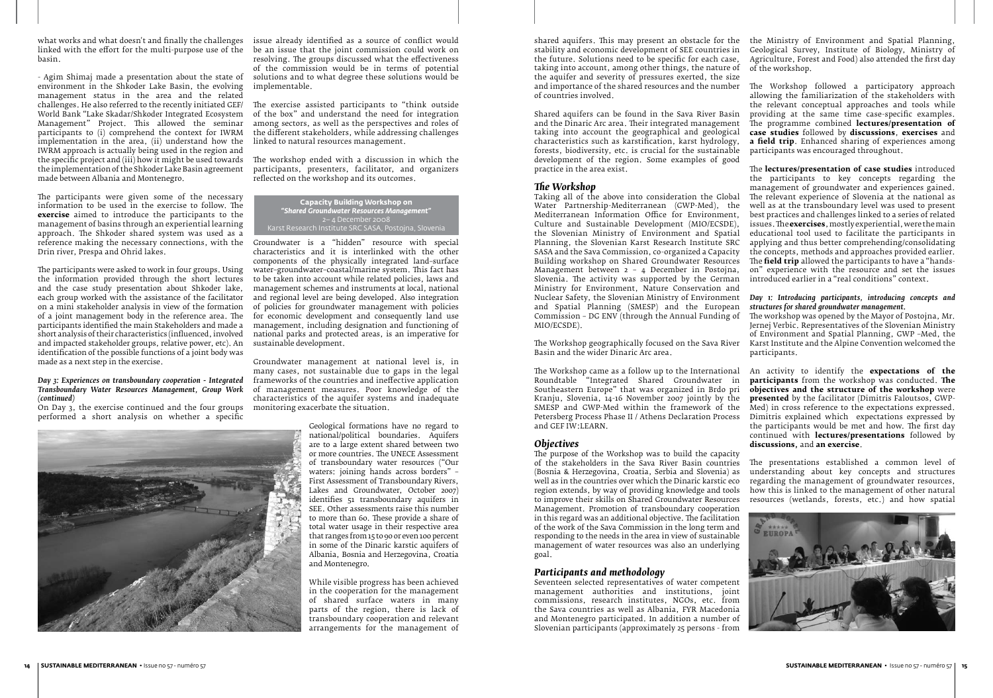what works and what doesn't and finally the challenges issue already identified as a source of conflict would linked with the effort for the multi-purpose use of the be an issue that the joint commission could work on basin.

- Agim Shimaj made a presentation about the state of environment in the Shkoder Lake Basin, the evolving management status in the area and the related challenges. He also referred to the recently initiated GEF/ The exercise assisted participants to "think outside World Bank "Lake Skadar/Shkoder Integrated Ecosystem Management" Project. This allowed the seminar participants to (i) comprehend the context for IWRM implementation in the area, (ii) understand how the IWRM approach is actually being used in the region and the specific project and (iii) how it might be used towards The workshop ended with a discussion in which the the implementation of the Shkoder Lake Basin agreement made between Albania and Montenegro.

The participants were given some of the necessary information to be used in the exercise to follow. The **exercise** aimed to introduce the participants to the management of basins through an experiential learning approach. The Shkoder shared system was used as a reference making the necessary connections, with the Groundwater is a "hidden" resource with special Drin river, Prespa and Ohrid lakes.

The participants were asked to work in four groups. Using the information provided through the short lectures and the case study presentation about Shkoder lake, each group worked with the assistance of the facilitator on a mini stakeholder analysis in view of the formation of a joint management body in the reference area. The participants identified the main Stakeholders and made a short analysis of their characteristics (influenced, involved and impacted stakeholder groups, relative power, etc). An identification of the possible functions of a joint body was made as a next step in the exercise.

#### *Day 3: Experiences on transboundary cooperation - Integrated Transboundary Water Resources Management, Group Work (continued)*

On Day 3, the exercise continued and the four groups performed a short analysis on whether a specific

resolving. The groups discussed what the effectiveness of the commission would be in terms of potential solutions and to what degree these solutions would be implementable.

of the box" and understand the need for integration among sectors, as well as the perspectives and roles of the different stakeholders, while addressing challenges linked to natural resources management.

participants, presenters, facilitator, and organizers reflected on the workshop and its outcomes.

characteristics and it is interlinked with the other components of the physically integrated land–surface water–groundwater–coastal/marine system. This fact has to be taken into account while related policies, laws and management schemes and instruments at local, national and regional level are being developed. Also integration of policies for groundwater management with policies for economic development and consequently land use management, including designation and functioning of national parks and protected areas, is an imperative for sustainable development.

Groundwater management at national level is, in many cases, not sustainable due to gaps in the legal frameworks of the countries and ineffective application of management measures. Poor knowledge of the characteristics of the aquifer systems and inadequate monitoring exacerbate the situation.



shared aquifers. This may present an obstacle for the "the Ministry or Environment" and Spatial Planning, stability and economic development of SEE countries in the future. Solutions need to be specific for each case, taking into account, among other things, the nature of the aquifer and severity of pressures exerted, the size and importance of the shared resources and the number The Workshop followed a participatory approach of countries involved. Geological Survey, Institute of Biology, Ministry of Agriculture, Forest and Food) also attended the first day of the workshop. allowing the familiarization of the stakeholders with

Geological formations have no regard to national/political boundaries. Aquifers are to a large extent shared between two or more countries. The UNECE Assessment of transboundary water resources ("Our waters: joining hands across borders" – First Assessment of Transboundary Rivers, Lakes and Groundwater, October 2007) identifies 51 transboundary aquifers in SEE. Other assessments raise this number to more than 60. These provide a share of total water usage in their respective area that ranges from 15 to 90 or even 100 percent in some of the Dinaric karstic aquifers of Albania, Bosnia and Herzegovina, Croatia and Montenegro.

While visible progress has been achieved in the cooperation for the management of shared surface waters in many parts of the region, there is lack of transboundary cooperation and relevant arrangements for the management of

Shared aquifers can be found in the Sava River Basin and the Dinaric Arc area. Their integrated management taking into account the geographical and geological characteristics such as karstification, karst hydrology, forests, biodiversity, etc. is crucial for the sustainable development of the region. Some examples of good practice in the area exist.

# *The Workshop*

Taking all of the above into consideration the Global Water Partnership-Mediterranean (GWP-Med), the Mediterranean Information Office for Environment, Culture and Sustainable Development (MIO/ECSDE), the Slovenian Ministry of Environment and Spatial Planning, the Slovenian Karst Research Institute SRC SASA and the Sava Commission, co-organized a Capacity Building workshop on Shared Groundwater Resources Management between 2 – 4 December in Postojna, Slovenia. The activity was supported by the German Ministry for Environment, Nature Conservation and Nuclear Safety, the Slovenian Ministry of Environment and Spatial Planning (SMESP) and the European Commission – DG ENV (through the Annual Funding of MIO/ECSDE).

The Workshop geographically focused on the Sava River Basin and the wider Dinaric Arc area.

## *Participants and methodology*

Seventeen selected representatives of water competent management authorities and institutions, joint commissions, research institutes, NGOs, etc. from the Sava countries as well as Albania, FYR Macedonia and Montenegro participated. In addition a number of Slovenian participants (approximately 25 persons - from

The Workshop came as a follow up to the International Roundtable "Integrated Shared Groundwater in Southeastern Europe" that was organized in Brdo pri Kranju, Slovenia, 14-16 November 2007 jointly by the SMESP and GWP-Med within the framework of the Petersberg Process Phase II / Athens Declaration Process and GEF IW:LEARN. *Objectives* An activity to identify the **expectations of the participants** from the workshop was conducted. **The objectives and the structure of the workshop** were **presented** by the facilitator (Dimitris Faloutsos, GWP-Med) in cross reference to the expectations expressed. Dimitris explained which expectations expressed by the participants would be met and how. The first day continued with **lectures/presentations** followed by **discussions,** and **an exercise**.

the relevant conceptual approaches and tools while providing at the same time case-specific examples. The programme combined **lectures/presentation of case studies** followed by **discussions**, **exercises** and **a field trip**. Enhanced sharing of experiences among participants was encouraged throughout.

The purpose of the Workshop was to build the capacity of the stakeholders in the Sava River Basin countries (Bosnia & Herzegovina, Croatia, Serbia and Slovenia) as well as in the countries over which the Dinaric karstic eco region extends, by way of providing knowledge and tools to improve their skills on Shared Groundwater Resources Management. Promotion of transboundary cooperation in this regard was an additional objective. The facilitation of the work of the Sava Commission in the long term and responding to the needs in the area in view of sustainable management of water resources was also an underlying goal. The presentations established a common level of understanding about key concepts and structures regarding the management of groundwater resources, how this is linked to the management of other natural resources (wetlands, forests, etc.) and how spatial

The **lectures/presentation of case studies** introduced the participants to key concepts regarding the management of groundwater and experiences gained. The relevant experience of Slovenia at the national as well as at the transboundary level was used to present best practices and challenges linked to a series of related issues. The **exercises**, mostly experiential, were the main educational tool used to facilitate the participants in applying and thus better comprehending/consolidating the concepts, methods and approaches provided earlier. The **field trip** allowed the participants to have a "handson" experience with the resource and set the issues introduced earlier in a "real conditions" context.

#### *Day 1: Introducing participants, introducing concepts and structures for shared groundwater management.*

The workshop was opened by the Mayor of Postojna, Mr. Jernej Verbic. Representatives of the Slovenian Ministry of Environment and Spatial Planning, GWP –Med, the Karst Institute and the Alpine Convention welcomed the participants.



**Capacity Building Workshop on**  *"Shared Groundwater Resources Management"* 2– 4 December 2008 Karst Research Institute SRC SASA, Postojna, Slovenia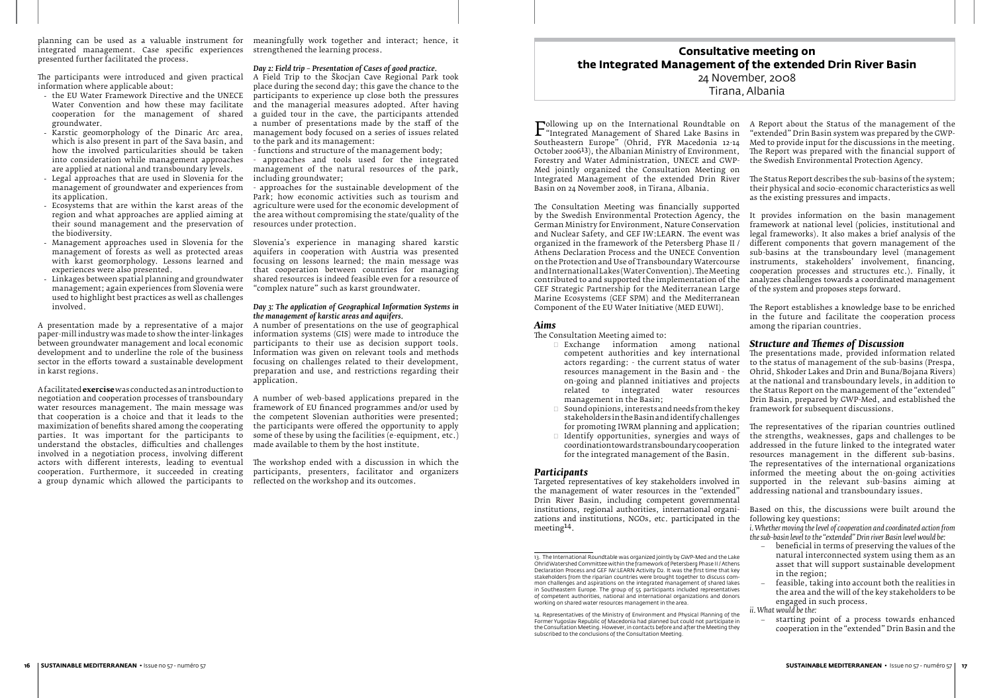planning can be used as a valuable instrument for meaningfully work together and interact; hence, it integrated management. Case specific experiences strengthened the learning process. presented further facilitated the process.

The participants were introduced and given practical information where applicable about:

- the EU Water Framework Directive and the UNECE Water Convention and how these may facilitate cooperation for the management of shared groundwater.
- Karstic geomorphology of the Dinaric Arc area, which is also present in part of the Sava basin, and how the involved particularities should be taken into consideration while management approaches are applied at national and transboundary levels.
- Legal approaches that are used in Slovenia for the  $\;$  including groundwater;  $\;$ management of groundwater and experiences from its application.
- Ecosystems that are within the karst areas of the region and what approaches are applied aiming at their sound management and the preservation of the biodiversity.
- management of forests as well as protected areas with karst geomorphology. Lessons learned and experiences were also presented.
- Linkages between spatial planning and groundwater management; again experiences from Slovenia were used to highlight best practices as well as challenges involved.

A presentation made by a representative of a major paper-mill industry was made to show the inter-linkages between groundwater management and local economic development and to underline the role of the business sector in the efforts toward a sustainable development in karst regions.

- Management approaches used in Slovenia for the Slovenia's experience in managing shared karstic aquifers in cooperation with Austria was presented focusing on lessons learned; the main message was that cooperation between countries for managing shared resources is indeed feasible even for a resource of "complex nature" such as karst groundwater.

A facilitated **exercise** was conducted as an introduction to negotiation and cooperation processes of transboundary water resources management. The main message was that cooperation is a choice and that it leads to the maximization of benefits shared among the cooperating parties. It was important for the participants to understand the obstacles, difficulties and challenges made available to them by the host institute. involved in a negotiation process, involving different actors with different interests, leading to eventual cooperation. Furthermore, it succeeded in creating a group dynamic which allowed the participants to

#### *Day 2: Field trip – Presentation of Cases of good practice.*

A Field Trip to the Škocjan Cave Regional Park took place during the second day; this gave the chance to the participants to experience up close both the pressures and the managerial measures adopted. After having a guided tour in the cave, the participants attended a number of presentations made by the staff of the management body focused on a series of issues related to the park and its management:

- functions and structure of the management body;
- approaches and tools used for the integrated management of the natural resources of the park,
- approaches for the sustainable development of the Park; how economic activities such as tourism and agriculture were used for the economic development of the area without compromising the state/quality of the resources under protection.

#### *Day 3: The application of Geographical Information Systems in the management of karstic areas and aquifers.*

A number of presentations on the use of geographical information systems (GIS) were made to introduce the participants to their use as decision support tools. Information was given on relevant tools and methods focusing on challenges related to their development, preparation and use, and restrictions regarding their application.

Following up on the international Roundtable on<br>"Integrated Management of Shared Lake Basins in<br>Southeastern Europe" (Ohrid, FYR Macedonia 12-14 "Integrated Management of Shared Lake Basins in Southeastern Europe" (Ohrid, FYR Macedonia 12-14 October 200613), the Albanian Ministry of Environment, Forestry and Water Administration, UNECE and GWP-Med jointly organized the Consultation Meeting on Integrated Management of the extended Drin River Basin on 24 November 2008, in Tirana, Albania. A Report about the Status of the management of the "extended" Drin Basin system was prepared by the GWP-Med to provide input for the discussions in the meeting. The Report was prepared with the financial support of the Swedish Environmental Protection Agency. The Status Report describes the sub-basins of the system; their physical and socio-economic characteristics as well as the existing pressures and impacts.

A number of web-based applications prepared in the framework of EU financed programmes and/or used by the competent Slovenian authorities were presented; the participants were offered the opportunity to apply some of these by using the facilities (e-equipment, etc.)

The workshop ended with a discussion in which the participants, presenters, facilitator and organizers reflected on the workshop and its outcomes.

- beneficial in terms of preserving the values of the natural interconnected system using them as an asset that will support sustainable development in the region;
- feasible, taking into account both the realities in the area and the will of the key stakeholders to be engaged in such process.

starting point of a process towards enhanced cooperation in the "extended" Drin Basin and the

## *Aims*

The Consultation Meeting aimed to:

- Exchange information among national competent authorities and key international actors regarding: - the current status of water resources management in the Basin and - the on-going and planned initiatives and projects related to integrated water resources management in the Basin;
- Sound opinions, interests and needs from the key stakeholders in the Basin and identify challenges for promoting IWRM planning and application;
- $\Box$  Identify opportunities, synergies and ways of coordination towards transboundary cooperation for the integrated management of the Basin.

#### *Participants*

The Consultation Meeting was financially supported by the Swedish Environmental Protection Agency, the German Ministry for Environment, Nature Conservation and Nuclear Safety, and GEF IW:LEARN. The event was organized in the framework of the Petersberg Phase II / Athens Declaration Process and the UNECE Convention on the Protection and Use of Transboundary Watercourse and International Lakes (Water Convention). The Meeting contributed to and supported the implementation of the GEF Strategic Partnership for the Mediterranean Large Marine Ecosystems (GEF SPM) and the Mediterranean Component of the EU Water Initiative (MED EUWI). It provides information on the basin management framework at national level (policies, institutional and legal frameworks). It also makes a brief analysis of the different components that govern management of the sub-basins at the transboundary level (management instruments, stakeholders' involvement, financing, cooperation processes and structures etc.). Finally, it analyzes challenges towards a coordinated management of the system and proposes steps forward. The Report establishes a knowledge base to be enriched

Targeted representatives of key stakeholders involved in the management of water resources in the "extended" Drin River Basin, including competent governmental institutions, regional authorities, international organizations and institutions, NGOs, etc. participated in the meeting<sup>14</sup>. addressing national and transboundary issues. Based on this, the discussions were built around the following key questions: *i. Whether moving the level of cooperation and coordinated action from*

in the future and facilitate the cooperation process among the riparian countries.

## *Structure and Themes of Discussion*

The presentations made, provided information related to the status of management of the sub-basins (Prespa, Ohrid, Shkoder Lakes and Drin and Buna/Bojana Rivers) at the national and transboundary levels, in addition to the Status Report on the management of the "extended" Drin Basin, prepared by GWP-Med, and established the framework for subsequent discussions.

The representatives of the riparian countries outlined the strengths, weaknesses, gaps and challenges to be addressed in the future linked to the integrated water resources management in the different sub-basins. The representatives of the international organizations informed the meeting about the on-going activities supported in the relevant sub-basins aiming at

*the sub-basin levelto the "extended" Drin river Basin level would be:*

*ii. What would be the:*

# **Consultative meeting on the Integrated Management of the extended Drin River Basin** 24 November, 2008

Tirana, Albania

<sup>13.</sup> The International Roundtable was organized jointly by GWP-Med and the Lake Ohrid Watershed Committee within the framework of Petersberg Phase II / Athens Declaration Process and GEF IW:LEARN Activity D2. It was the first time that key stakeholders from the riparian countries were brought together to discuss common challenges and aspirations on the integrated management of shared lakes in Southeastern Europe. The group of 55 participants included representatives of competent authorities, national and international organizations and donors working on shared water resources management in the area.

<sup>14.</sup> Representatives of the Ministry of Environment and Physical Planning of the Former Yugoslav Republic of Macedonia had planned but could not participate in the Consultation Meeting. However, in contacts before and after the Meeting they subscribed to the conclusions of the Consultation Meeting.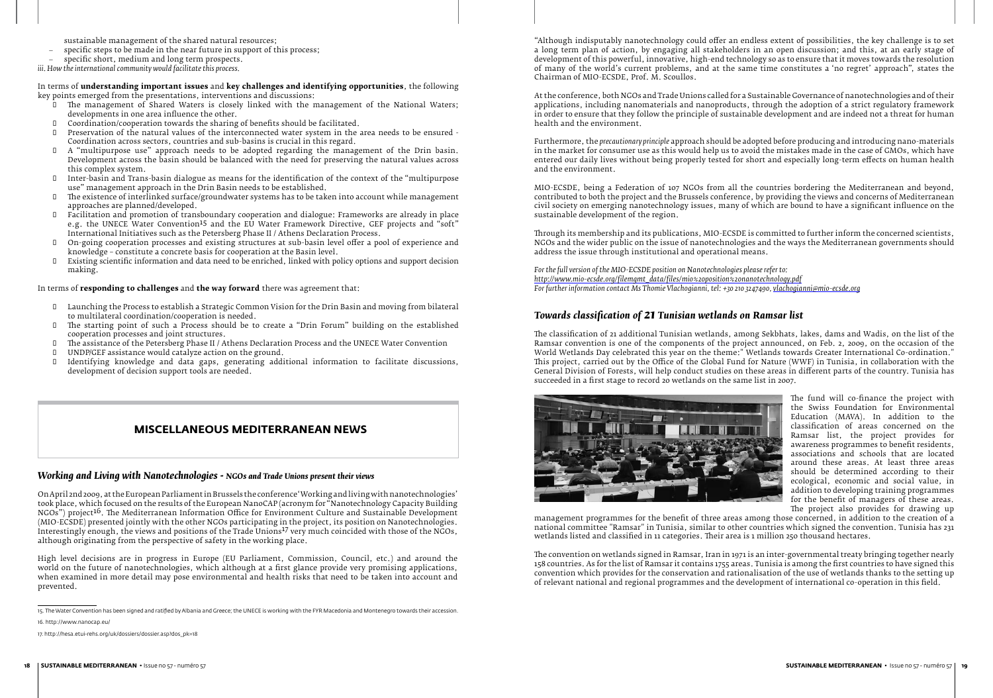sustainable management of the shared natural resources;

- specific steps to be made in the near future in support of this process;
- specific short, medium and long term prospects.
- *iii. How the international community would facilitate this process.*

In terms of **understanding important issues** and **key challenges and identifying opportunities**, the following key points emerged from the presentations, interventions and discussions:

- The management of Shared Waters is closely linked with the management of the National Waters;<br>developments in one area influence the other. developments in one area influence the other.
- $\Box$  Coordination/cooperation towards the sharing of benefits should be facilitated.
- Preservation of the natural values of the interconnected water system in the area needs to be ensured -Coordination across sectors, countries and sub-basins is crucial in this regard.
- $\Box$  A "multipurpose use" approach needs to be adopted regarding the management of the Drin basin. Development across the basin should be balanced with the need for preserving the natural values across this complex system.
- I Inter-basin and Trans-basin dialogue as means for the identification of the context of the "multipurpose use" management approach in the Drin Basin needs to be established.
- $\Box$  The existence of interlinked surface/groundwater systems has to be taken into account while management approaches are planned/developed.
- **I** Facilitation and promotion of transboundary cooperation and dialogue: Frameworks are already in place e.g. the UNECE Water Convention15 and the EU Water Framework Directive, GEF projects and "soft" International Initiatives such as the Petersberg Phase II / Athens Declaration Process.
- **0** On-going cooperation processes and existing structures at sub-basin level offer a pool of experience and knowledge – constitute a concrete basis for cooperation at the Basin level.
- • Existing scientific information and data need to be enriched, linked with policy options and support decision making.

In terms of **responding to challenges** and **the way forward** there was agreement that:

- • Launching the Process to establish a Strategic Common Vision for the Drin Basin and moving from bilateral to multilateral coordination/cooperation is needed.
- If the starting point of such a Process should be to create a "Drin Forum" building on the established cooperation processes and joint structures. cooperation processes and joint structures.
- $\Box$  The assistance of the Petersberg Phase II / Athens Declaration Process and the UNECE Water Convention
- $\Box$  UNDP/GEF assistance would catalyze action on the ground.<br> $\Box$  Identifying knowledge and data gaps, generating addi
- Identifying knowledge and data gaps, generating additional information to facilitate discussions, development of decision support tools are needed.

## *Working and Living with Nanotechnologies - NGOs and Trade Unions present their views*

On April 2nd 2009, at the European Parliament in Brussels the conference 'Working and living with nanotechnologies' took place, which focused on the results of the European NanoCAP (acronym for "Nanotechnology Capacity Building NGOs") project16. The Mediterranean Information Office for Environment Culture and Sustainable Development (MIO-ECSDE) presented jointly with the other NGOs participating in the project, its position on Nanotechnologies. Interestingly enough, the views and positions of the Trade Unions17 very much coincided with those of the NGOs, although originating from the perspective of safety in the working place.

High level decisions are in progress in Europe (EU Parliament, Commission, Council, etc.) and around the world on the future of nanotechnologies, which although at a first glance provide very promising applications, when examined in more detail may pose environmental and health risks that need to be taken into account and prevented.

16. http://www.nanocap.eu/

# **MISCELLANEOUS MEDITERRANEAN NEWS**

"Although indisputably nanotechnology could offer an endless extent of possibilities, the key challenge is to set a long term plan of action, by engaging all stakeholders in an open discussion; and this, at an early stage of development of this powerful, innovative, high-end technology so as to ensure that it moves towards the resolution of many of the world's current problems, and at the same time constitutes a 'no regret' approach", states the Chairman of MIO-ECSDE, Prof. M. Scoullos.

At the conference, both NGOs and Trade Unions called for a Sustainable Governance of nanotechnologies and of their applications, including nanomaterials and nanoproducts, through the adoption of a strict regulatory framework in order to ensure that they follow the principle of sustainable development and are indeed not a threat for human health and the environment.

Furthermore, the *precautionary principle* approach should be adopted before producing and introducing nano-materials in the market for consumer use as this would help us to avoid the mistakes made in the case of GMOs, which have entered our daily lives without being properly tested for short and especially long-term effects on human health and the environment.

MIO-ECSDE, being a Federation of 107 NGOs from all the countries bordering the Mediterranean and beyond, contributed to both the project and the Brussels conference, by providing the views and concerns of Mediterranean civil society on emerging nanotechnology issues, many of which are bound to have a significant influence on the sustainable development of the region.

Through its membership and its publications, MIO-ECSDE is committed to further inform the concerned scientists, NGOs and the wider public on the issue of nanotechnologies and the ways the Mediterranean governments should address the issue through institutional and operational means.

*For the full version of the MIO-ECSDE position on Nanotechnologies please refer to: http://www.mio-ecsde.org/filemgmt\_data/files/mio%20position%20nanotechnology.pdf For further information contact Ms Thomie Vlachogianni, tel: +30 210 3247490, vlachogianni@mio-ecsde.org*

# *Towards classification of 21 Tunisian wetlands on Ramsar list*

The classification of 21 additional Tunisian wetlands, among Sekbhats, lakes, dams and Wadis, on the list of the Ramsar convention is one of the components of the project announced, on Feb. 2, 2009, on the occasion of the World Wetlands Day celebrated this year on the theme:" Wetlands towards Greater International Co-ordination." This project, carried out by the Office of the Global Fund for Nature (WWF) in Tunisia, in collaboration with the General Division of Forests, will help conduct studies on these areas in different parts of the country. Tunisia has succeeded in a first stage to record 20 wetlands on the same list in 2007.



The fund will co-finance the project with the Swiss Foundation for Environmental Education (MAVA). In addition to the classification of areas concerned on the Ramsar list, the project provides for awareness programmes to benefit residents, associations and schools that are located around these areas. At least three areas should be determined according to their ecological, economic and social value, in addition to developing training programmes for the benefit of managers of these areas.

The project also provides for drawing up management programmes for the benefit of three areas among those concerned, in addition to the creation of a national committee "Ramsar" in Tunisia, similar to other countries which signed the convention. Tunisia has 231 wetlands listed and classified in 11 categories. Their area is 1 million 250 thousand hectares.

The convention on wetlands signed in Ramsar, Iran in 1971 is an inter-governmental treaty bringing together nearly 158 countries. As for the list of Ramsar it contains 1755 areas. Tunisia is among the first countries to have signed this convention which provides for the conservation and rationalisation of the use of wetlands thanks to the setting up of relevant national and regional programmes and the development of international co-operation in this field.

<sup>15.</sup> The Water Convention has been signed and ratified by Albania and Greece; the UNECE is working with the FYR Macedonia and Montenegro towards their accession.

<sup>17.</sup> http://hesa.etui-rehs.org/uk/dossiers/dossier.asp?dos\_pk=18